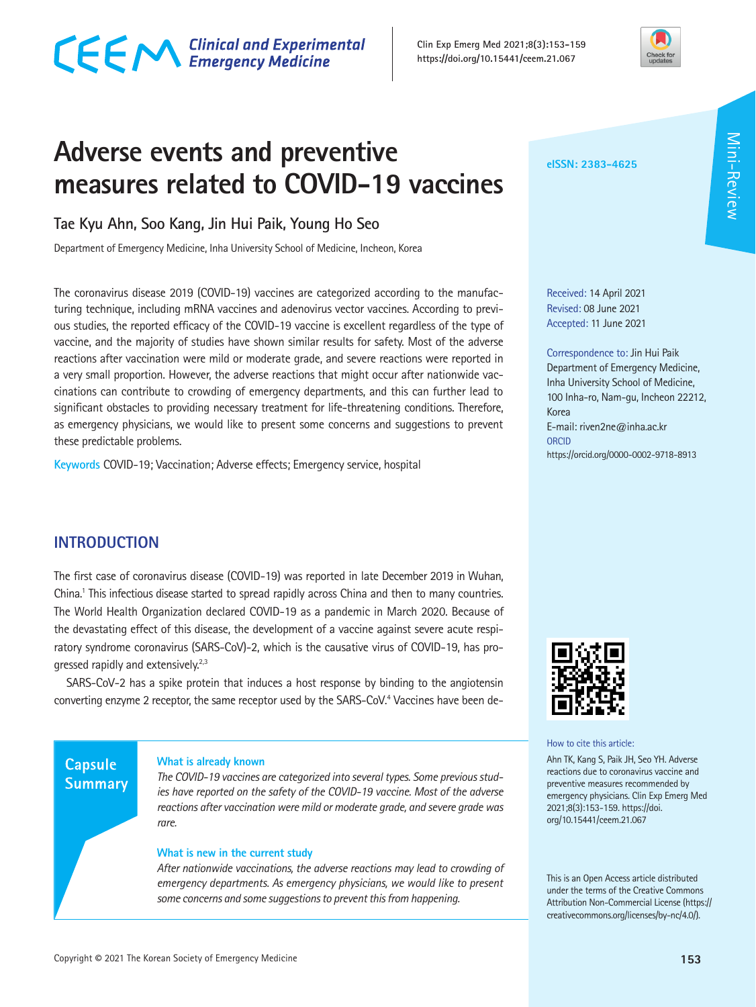# CECM Clinical and Experimental



### **Adverse events and preventive measures related to COVID-19 vaccines**

#### **Tae Kyu Ahn, Soo Kang, Jin Hui Paik, Young Ho Seo**

Department of Emergency Medicine, Inha University School of Medicine, Incheon, Korea

The coronavirus disease 2019 (COVID-19) vaccines are categorized according to the manufacturing technique, including mRNA vaccines and adenovirus vector vaccines. According to previous studies, the reported efficacy of the COVID-19 vaccine is excellent regardless of the type of vaccine, and the majority of studies have shown similar results for safety. Most of the adverse reactions after vaccination were mild or moderate grade, and severe reactions were reported in a very small proportion. However, the adverse reactions that might occur after nationwide vaccinations can contribute to crowding of emergency departments, and this can further lead to significant obstacles to providing necessary treatment for life-threatening conditions. Therefore, as emergency physicians, we would like to present some concerns and suggestions to prevent these predictable problems.

**Keywords** COVID-19; Vaccination; Adverse effects; Emergency service, hospital

#### **INTRODUCTION**

The first case of coronavirus disease (COVID-19) was reported in late December 2019 in Wuhan, China.<sup>1</sup> This infectious disease started to spread rapidly across China and then to many countries. The World Health Organization declared COVID-19 as a pandemic in March 2020. Because of the devastating effect of this disease, the development of a vaccine against severe acute respiratory syndrome coronavirus (SARS-CoV)-2, which is the causative virus of COVID-19, has progressed rapidly and extensively.<sup>2,3</sup>

SARS-CoV-2 has a spike protein that induces a host response by binding to the angiotensin converting enzyme 2 receptor, the same receptor used by the SARS-CoV.<sup>4</sup> Vaccines have been de-

#### **Capsule Summary**

#### **What is already known**

*The COVID-19 vaccines are categorized into several types. Some previous studies have reported on the safety of the COVID-19 vaccine. Most of the adverse reactions after vaccination were mild or moderate grade, and severe grade was rare.*

#### **What is new in the current study**

*After nationwide vaccinations, the adverse reactions may lead to crowding of emergency departments. As emergency physicians, we would like to present some concerns and some suggestions to prevent this from happening.*

#### **eISSN: 2383-4625**

Received: 14 April 2021 Revised: 08 June 2021 Accepted: 11 June 2021

Correspondence to: Jin Hui Paik Department of Emergency Medicine, Inha University School of Medicine, 100 Inha-ro, Nam-gu, Incheon 22212, Korea E-mail: riven2ne@inha.ac.kr **ORCID** https://orcid.org/0000-0002-9718-8913



How to cite this article:

Ahn TK, Kang S, Paik JH, Seo YH. Adverse reactions due to coronavirus vaccine and preventive measures recommended by emergency physicians. Clin Exp Emerg Med 2021;8(3):153-159. https://doi. org/10.15441/ceem.21.067

This is an Open Access article distributed under the terms of the Creative Commons Attribution Non-Commercial License (https:// creativecommons.org/licenses/by-nc/4.0/).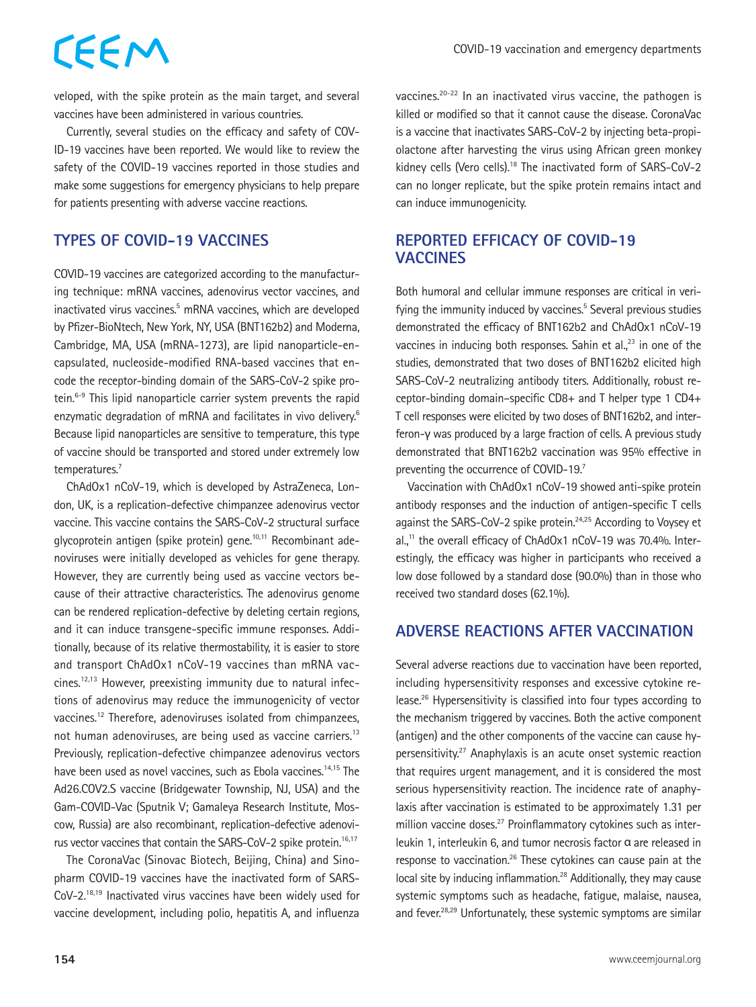veloped, with the spike protein as the main target, and several vaccines have been administered in various countries.

Currently, several studies on the efficacy and safety of COV-ID-19 vaccines have been reported. We would like to review the safety of the COVID-19 vaccines reported in those studies and make some suggestions for emergency physicians to help prepare for patients presenting with adverse vaccine reactions.

#### **TYPES OF COVID-19 VACCINES**

CEEM

COVID-19 vaccines are categorized according to the manufacturing technique: mRNA vaccines, adenovirus vector vaccines, and inactivated virus vaccines.<sup>5</sup> mRNA vaccines, which are developed by Pfizer-BioNtech, New York, NY, USA (BNT162b2) and Moderna, Cambridge, MA, USA (mRNA-1273), are lipid nanoparticle-encapsulated, nucleoside-modified RNA-based vaccines that encode the receptor-binding domain of the SARS-CoV-2 spike protein.<sup>6-9</sup> This lipid nanoparticle carrier system prevents the rapid enzymatic degradation of mRNA and facilitates in vivo delivery.<sup>6</sup> Because lipid nanoparticles are sensitive to temperature, this type of vaccine should be transported and stored under extremely low temperatures.<sup>7</sup>

ChAdOx1 nCoV-19, which is developed by AstraZeneca, London, UK, is a replication-defective chimpanzee adenovirus vector vaccine. This vaccine contains the SARS-CoV-2 structural surface glycoprotein antigen (spike protein) gene.10,11 Recombinant adenoviruses were initially developed as vehicles for gene therapy. However, they are currently being used as vaccine vectors because of their attractive characteristics. The adenovirus genome can be rendered replication-defective by deleting certain regions, and it can induce transgene-specific immune responses. Additionally, because of its relative thermostability, it is easier to store and transport ChAdOx1 nCoV-19 vaccines than mRNA vaccines.<sup>12,13</sup> However, preexisting immunity due to natural infections of adenovirus may reduce the immunogenicity of vector vaccines.12 Therefore, adenoviruses isolated from chimpanzees, not human adenoviruses, are being used as vaccine carriers.<sup>13</sup> Previously, replication-defective chimpanzee adenovirus vectors have been used as novel vaccines, such as Ebola vaccines.<sup>14,15</sup> The Ad26.COV2.S vaccine (Bridgewater Township, NJ, USA) and the Gam-COVID-Vac (Sputnik V; Gamaleya Research Institute, Moscow, Russia) are also recombinant, replication-defective adenovirus vector vaccines that contain the SARS-CoV-2 spike protein.<sup>16,17</sup>

The CoronaVac (Sinovac Biotech, Beijing, China) and Sinopharm COVID-19 vaccines have the inactivated form of SARS-CoV-2.18,19 Inactivated virus vaccines have been widely used for vaccine development, including polio, hepatitis A, and influenza

vaccines.20-22 In an inactivated virus vaccine, the pathogen is killed or modified so that it cannot cause the disease. CoronaVac is a vaccine that inactivates SARS-CoV-2 by injecting beta-propiolactone after harvesting the virus using African green monkey kidney cells (Vero cells).18 The inactivated form of SARS-CoV-2 can no longer replicate, but the spike protein remains intact and can induce immunogenicity.

#### **REPORTED EFFICACY OF COVID-19 VACCINES**

Both humoral and cellular immune responses are critical in verifying the immunity induced by vaccines.<sup>5</sup> Several previous studies demonstrated the efficacy of BNT162b2 and ChAdOx1 nCoV-19 vaccines in inducing both responses. Sahin et al., $23$  in one of the studies, demonstrated that two doses of BNT162b2 elicited high SARS-CoV-2 neutralizing antibody titers. Additionally, robust receptor-binding domain–specific CD8+ and T helper type 1 CD4+ T cell responses were elicited by two doses of BNT162b2, and interferon-γ was produced by a large fraction of cells. A previous study demonstrated that BNT162b2 vaccination was 95% effective in preventing the occurrence of COVID-19.<sup>7</sup>

Vaccination with ChAdOx1 nCoV-19 showed anti-spike protein antibody responses and the induction of antigen-specific T cells against the SARS-CoV-2 spike protein.<sup>24,25</sup> According to Voysey et al.<sup>11</sup> the overall efficacy of ChAdOx1 nCoV-19 was 70.4%. Interestingly, the efficacy was higher in participants who received a low dose followed by a standard dose (90.0%) than in those who received two standard doses (62.1%).

#### **ADVERSE REACTIONS AFTER VACCINATION**

Several adverse reactions due to vaccination have been reported, including hypersensitivity responses and excessive cytokine release.26 Hypersensitivity is classified into four types according to the mechanism triggered by vaccines. Both the active component (antigen) and the other components of the vaccine can cause hypersensitivity.27 Anaphylaxis is an acute onset systemic reaction that requires urgent management, and it is considered the most serious hypersensitivity reaction. The incidence rate of anaphylaxis after vaccination is estimated to be approximately 1.31 per million vaccine doses.<sup>27</sup> Proinflammatory cytokines such as interleukin 1, interleukin 6, and tumor necrosis factor α are released in response to vaccination.<sup>26</sup> These cytokines can cause pain at the local site by inducing inflammation.<sup>28</sup> Additionally, they may cause systemic symptoms such as headache, fatigue, malaise, nausea, and fever.<sup>28,29</sup> Unfortunately, these systemic symptoms are similar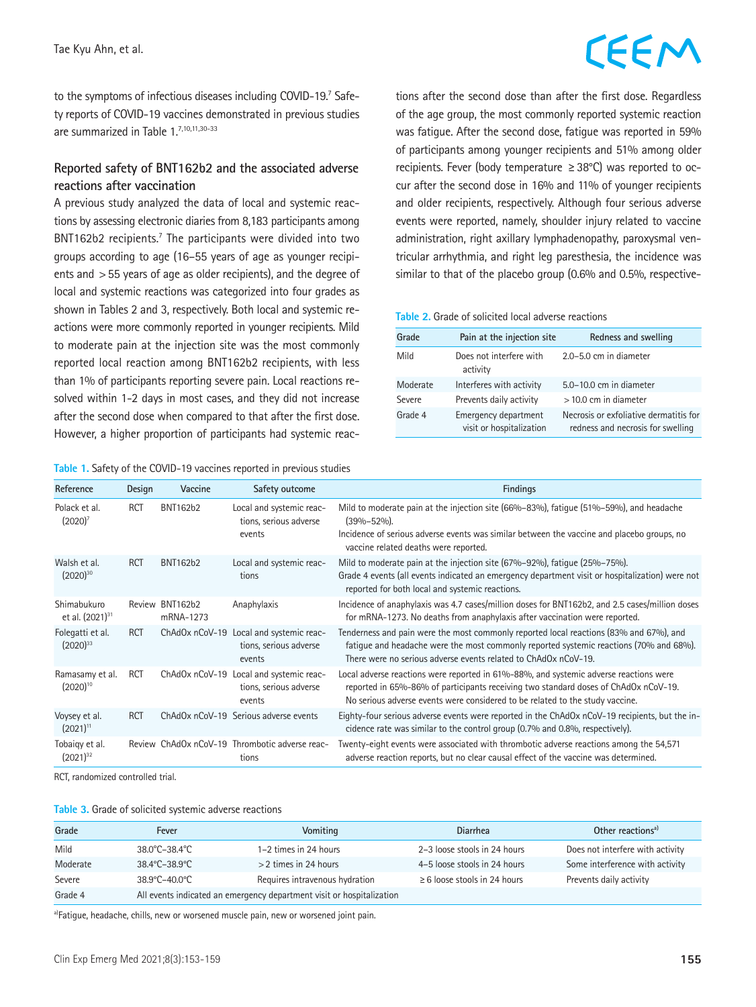to the symptoms of infectious diseases including COVID-19.7 Safety reports of COVID-19 vaccines demonstrated in previous studies are summarized in Table 1.7,10,11,30-33

#### **Reported safety of BNT162b2 and the associated adverse reactions after vaccination**

A previous study analyzed the data of local and systemic reactions by assessing electronic diaries from 8,183 participants among BNT162b2 recipients.<sup>7</sup> The participants were divided into two groups according to age (16–55 years of age as younger recipients and >55 years of age as older recipients), and the degree of local and systemic reactions was categorized into four grades as shown in Tables 2 and 3, respectively. Both local and systemic reactions were more commonly reported in younger recipients. Mild to moderate pain at the injection site was the most commonly reported local reaction among BNT162b2 recipients, with less than 1% of participants reporting severe pain. Local reactions resolved within 1-2 days in most cases, and they did not increase after the second dose when compared to that after the first dose. However, a higher proportion of participants had systemic reac-

**Table 1.** Safety of the COVID-19 vaccines reported in previous studies

tions after the second dose than after the first dose. Regardless of the age group, the most commonly reported systemic reaction was fatigue. After the second dose, fatigue was reported in 59% of participants among younger recipients and 51% among older recipients. Fever (body temperature ≥38°C) was reported to occur after the second dose in 16% and 11% of younger recipients and older recipients, respectively. Although four serious adverse events were reported, namely, shoulder injury related to vaccine administration, right axillary lymphadenopathy, paroxysmal ventricular arrhythmia, and right leg paresthesia, the incidence was similar to that of the placebo group (0.6% and 0.5%, respective-

#### **Table 2.** Grade of solicited local adverse reactions

| Grade    | Pain at the injection site                       | Redness and swelling                                                        |
|----------|--------------------------------------------------|-----------------------------------------------------------------------------|
| Mild     | Does not interfere with<br>activity              | $2.0 - 5.0$ cm in diameter                                                  |
| Moderate | Interferes with activity                         | $5.0 - 10.0$ cm in diameter                                                 |
| Severe   | Prevents daily activity                          | $>$ 10.0 cm in diameter                                                     |
| Grade 4  | Emergency department<br>visit or hospitalization | Necrosis or exfoliative dermatitis for<br>redness and necrosis for swelling |

| Reference                                  | Design     | Vaccine                      | Safety outcome                                                              | <b>Findings</b>                                                                                                                                                                                                                                               |
|--------------------------------------------|------------|------------------------------|-----------------------------------------------------------------------------|---------------------------------------------------------------------------------------------------------------------------------------------------------------------------------------------------------------------------------------------------------------|
| Polack et al.<br>(2020)'                   | <b>RCT</b> | <b>BNT162b2</b>              | Local and systemic reac-<br>tions, serious adverse<br>events                | Mild to moderate pain at the injection site (66%–83%), fatique (51%–59%), and headache<br>$(39\% - 52\%)$ .<br>Incidence of serious adverse events was similar between the vaccine and placebo groups, no<br>vaccine related deaths were reported.            |
| Walsh et al.<br>$(2020)^{30}$              | <b>RCT</b> | <b>BNT162b2</b>              | Local and systemic reac-<br>tions                                           | Mild to moderate pain at the injection site (67%–92%), fatique (25%–75%).<br>Grade 4 events (all events indicated an emergency department visit or hospitalization) were not<br>reported for both local and systemic reactions.                               |
| Shimabukuro<br>et al. (2021) <sup>31</sup> |            | Review BNT162b2<br>mRNA-1273 | Anaphylaxis                                                                 | Incidence of anaphylaxis was 4.7 cases/million doses for BNT162b2, and 2.5 cases/million doses<br>for mRNA-1273. No deaths from anaphylaxis after vaccination were reported.                                                                                  |
| Folegatti et al.<br>$(2020)^{33}$          | <b>RCT</b> | ChAdOx nCoV-19               | Local and systemic reac-<br>tions, serious adverse<br>events                | Tenderness and pain were the most commonly reported local reactions (83% and 67%), and<br>fatique and headache were the most commonly reported systemic reactions (70% and 68%).<br>There were no serious adverse events related to ChAdOx nCoV-19.           |
| Ramasamy et al.<br>$(2020)^{10}$           | <b>RCT</b> |                              | ChAdOx nCoV-19 Local and systemic reac-<br>tions, serious adverse<br>events | Local adverse reactions were reported in 61%-88%, and systemic adverse reactions were<br>reported in 65%-86% of participants receiving two standard doses of ChAdOx nCoV-19.<br>No serious adverse events were considered to be related to the study vaccine. |
| Voysey et al.<br>$(2021)^{11}$             | <b>RCT</b> |                              | ChAdOx nCoV-19 Serious adverse events                                       | Eighty-four serious adverse events were reported in the ChAdOx nCoV-19 recipients, but the in-<br>cidence rate was similar to the control group (0.7% and 0.8%, respectively).                                                                                |
| Tobaigy et al.<br>$(2021)^{32}$            |            |                              | Review ChAdOx nCoV-19 Thrombotic adverse reac-<br>tions                     | Twenty-eight events were associated with thrombotic adverse reactions among the 54,571<br>adverse reaction reports, but no clear causal effect of the vaccine was determined.                                                                                 |

RCT, randomized controlled trial.

|  | Table 3. Grade of solicited systemic adverse reactions |
|--|--------------------------------------------------------|
|--|--------------------------------------------------------|

| Grade    | Fever                                                                 | Vomitina                       | <b>Diarrhea</b>                   | Other reactions <sup>a)</sup>    |  |  |
|----------|-----------------------------------------------------------------------|--------------------------------|-----------------------------------|----------------------------------|--|--|
| Mild     | $38.0^{\circ}$ C-38.4 $^{\circ}$ C                                    | 1-2 times in 24 hours          | 2-3 loose stools in 24 hours      | Does not interfere with activity |  |  |
| Moderate | $38.4^{\circ}$ C-38.9 $^{\circ}$ C                                    | $>$ 2 times in 24 hours        | 4-5 loose stools in 24 hours      | Some interference with activity  |  |  |
| Severe   | $38.9^{\circ}$ C-40.0 $^{\circ}$ C                                    | Requires intravenous hydration | $\geq 6$ loose stools in 24 hours | Prevents daily activity          |  |  |
| Grade 4  | All events indicated an emergency department visit or hospitalization |                                |                                   |                                  |  |  |

a)Fatigue, headache, chills, new or worsened muscle pain, new or worsened joint pain.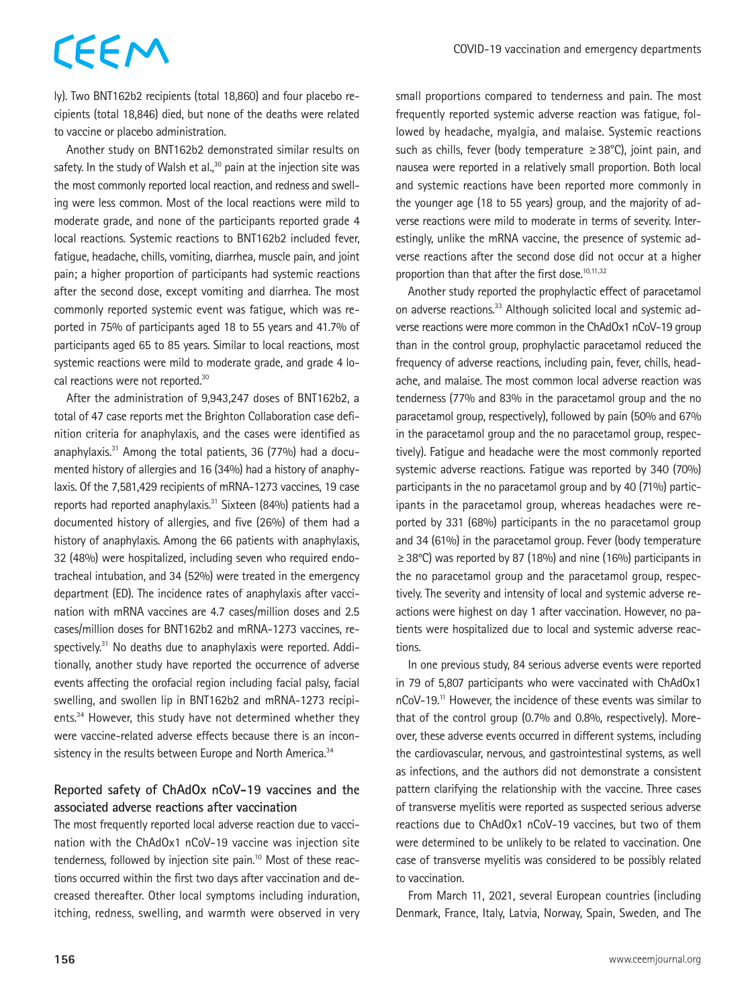ly). Two BNT162b2 recipients (total 18,860) and four placebo recipients (total 18,846) died, but none of the deaths were related to vaccine or placebo administration.

Another study on BNT162b2 demonstrated similar results on safety. In the study of Walsh et al., $30$  pain at the injection site was the most commonly reported local reaction, and redness and swelling were less common. Most of the local reactions were mild to moderate grade, and none of the participants reported grade 4 local reactions. Systemic reactions to BNT162b2 included fever, fatigue, headache, chills, vomiting, diarrhea, muscle pain, and joint pain; a higher proportion of participants had systemic reactions after the second dose, except vomiting and diarrhea. The most commonly reported systemic event was fatigue, which was reported in 75% of participants aged 18 to 55 years and 41.7% of participants aged 65 to 85 years. Similar to local reactions, most systemic reactions were mild to moderate grade, and grade 4 local reactions were not reported.<sup>30</sup>

After the administration of 9,943,247 doses of BNT162b2, a total of 47 case reports met the Brighton Collaboration case definition criteria for anaphylaxis, and the cases were identified as anaphylaxis. $31$  Among the total patients, 36 (77%) had a documented history of allergies and 16 (34%) had a history of anaphylaxis. Of the 7,581,429 recipients of mRNA-1273 vaccines, 19 case reports had reported anaphylaxis.31 Sixteen (84%) patients had a documented history of allergies, and five (26%) of them had a history of anaphylaxis. Among the 66 patients with anaphylaxis, 32 (48%) were hospitalized, including seven who required endotracheal intubation, and 34 (52%) were treated in the emergency department (ED). The incidence rates of anaphylaxis after vaccination with mRNA vaccines are 4.7 cases/million doses and 2.5 cases/million doses for BNT162b2 and mRNA-1273 vaccines, respectively.<sup>31</sup> No deaths due to anaphylaxis were reported. Additionally, another study have reported the occurrence of adverse events affecting the orofacial region including facial palsy, facial swelling, and swollen lip in BNT162b2 and mRNA-1273 recipients.34 However, this study have not determined whether they were vaccine-related adverse effects because there is an inconsistency in the results between Europe and North America.<sup>34</sup>

#### **Reported safety of ChAdOx nCoV-19 vaccines and the associated adverse reactions after vaccination**

The most frequently reported local adverse reaction due to vaccination with the ChAdOx1 nCoV-19 vaccine was injection site tenderness, followed by injection site pain.<sup>10</sup> Most of these reactions occurred within the first two days after vaccination and decreased thereafter. Other local symptoms including induration, itching, redness, swelling, and warmth were observed in very small proportions compared to tenderness and pain. The most frequently reported systemic adverse reaction was fatigue, followed by headache, myalgia, and malaise. Systemic reactions such as chills, fever (body temperature ≥38°C), joint pain, and nausea were reported in a relatively small proportion. Both local and systemic reactions have been reported more commonly in the younger age (18 to 55 years) group, and the majority of adverse reactions were mild to moderate in terms of severity. Interestingly, unlike the mRNA vaccine, the presence of systemic adverse reactions after the second dose did not occur at a higher proportion than that after the first dose.<sup>10,11,32</sup>

Another study reported the prophylactic effect of paracetamol on adverse reactions.33 Although solicited local and systemic adverse reactions were more common in the ChAdOx1 nCoV-19 group than in the control group, prophylactic paracetamol reduced the frequency of adverse reactions, including pain, fever, chills, headache, and malaise. The most common local adverse reaction was tenderness (77% and 83% in the paracetamol group and the no paracetamol group, respectively), followed by pain (50% and 67% in the paracetamol group and the no paracetamol group, respectively). Fatigue and headache were the most commonly reported systemic adverse reactions. Fatigue was reported by 340 (70%) participants in the no paracetamol group and by 40 (71%) participants in the paracetamol group, whereas headaches were reported by 331 (68%) participants in the no paracetamol group and 34 (61%) in the paracetamol group. Fever (body temperature ≥38°C) was reported by 87 (18%) and nine (16%) participants in the no paracetamol group and the paracetamol group, respectively. The severity and intensity of local and systemic adverse reactions were highest on day 1 after vaccination. However, no patients were hospitalized due to local and systemic adverse reactions.

In one previous study, 84 serious adverse events were reported in 79 of 5,807 participants who were vaccinated with ChAdOx1 nCoV-19.11 However, the incidence of these events was similar to that of the control group (0.7% and 0.8%, respectively). Moreover, these adverse events occurred in different systems, including the cardiovascular, nervous, and gastrointestinal systems, as well as infections, and the authors did not demonstrate a consistent pattern clarifying the relationship with the vaccine. Three cases of transverse myelitis were reported as suspected serious adverse reactions due to ChAdOx1 nCoV-19 vaccines, but two of them were determined to be unlikely to be related to vaccination. One case of transverse myelitis was considered to be possibly related to vaccination.

From March 11, 2021, several European countries (including Denmark, France, Italy, Latvia, Norway, Spain, Sweden, and The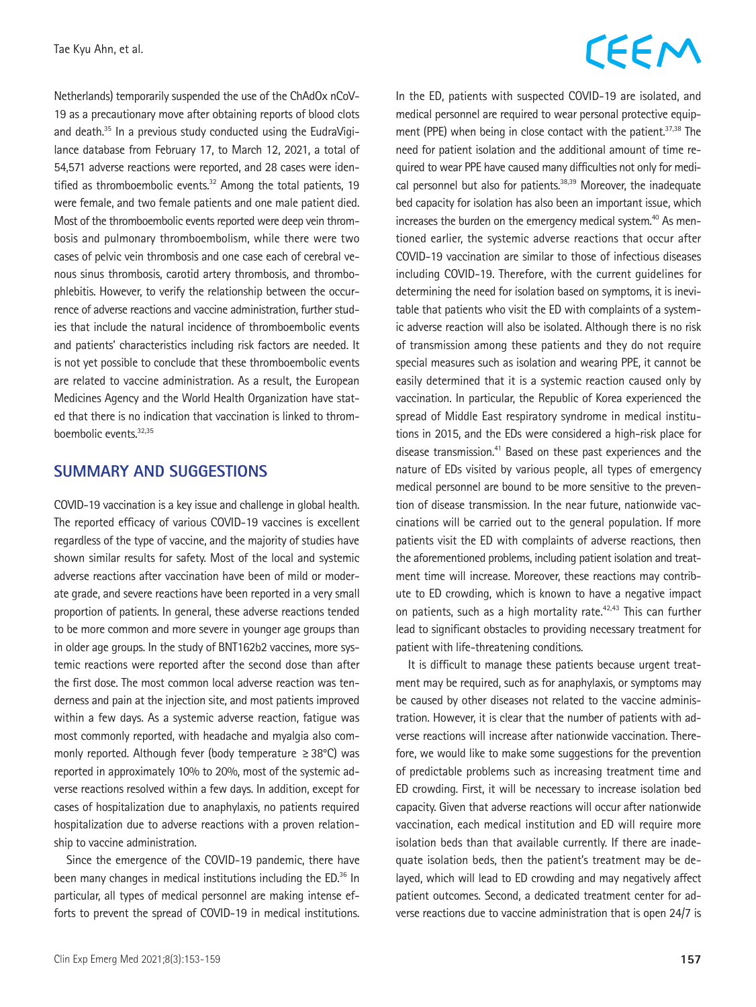Netherlands) temporarily suspended the use of the ChAdOx nCoV-19 as a precautionary move after obtaining reports of blood clots and death.<sup>35</sup> In a previous study conducted using the EudraVigilance database from February 17, to March 12, 2021, a total of 54,571 adverse reactions were reported, and 28 cases were identified as thromboembolic events. $32$  Among the total patients, 19 were female, and two female patients and one male patient died. Most of the thromboembolic events reported were deep vein thrombosis and pulmonary thromboembolism, while there were two cases of pelvic vein thrombosis and one case each of cerebral venous sinus thrombosis, carotid artery thrombosis, and thrombophlebitis. However, to verify the relationship between the occurrence of adverse reactions and vaccine administration, further studies that include the natural incidence of thromboembolic events and patients' characteristics including risk factors are needed. It is not yet possible to conclude that these thromboembolic events are related to vaccine administration. As a result, the European Medicines Agency and the World Health Organization have stated that there is no indication that vaccination is linked to thromboembolic events.32,35

#### **SUMMARY AND SUGGESTIONS**

COVID-19 vaccination is a key issue and challenge in global health. The reported efficacy of various COVID-19 vaccines is excellent regardless of the type of vaccine, and the majority of studies have shown similar results for safety. Most of the local and systemic adverse reactions after vaccination have been of mild or moderate grade, and severe reactions have been reported in a very small proportion of patients. In general, these adverse reactions tended to be more common and more severe in younger age groups than in older age groups. In the study of BNT162b2 vaccines, more systemic reactions were reported after the second dose than after the first dose. The most common local adverse reaction was tenderness and pain at the injection site, and most patients improved within a few days. As a systemic adverse reaction, fatigue was most commonly reported, with headache and myalgia also commonly reported. Although fever (body temperature ≥38°C) was reported in approximately 10% to 20%, most of the systemic adverse reactions resolved within a few days. In addition, except for cases of hospitalization due to anaphylaxis, no patients required hospitalization due to adverse reactions with a proven relationship to vaccine administration.

Since the emergence of the COVID-19 pandemic, there have been many changes in medical institutions including the ED.<sup>36</sup> In particular, all types of medical personnel are making intense efforts to prevent the spread of COVID-19 in medical institutions.

## CEEM

In the ED, patients with suspected COVID-19 are isolated, and medical personnel are required to wear personal protective equipment (PPE) when being in close contact with the patient.<sup>37,38</sup> The need for patient isolation and the additional amount of time required to wear PPE have caused many difficulties not only for medical personnel but also for patients.<sup>38,39</sup> Moreover, the inadequate bed capacity for isolation has also been an important issue, which increases the burden on the emergency medical system.<sup>40</sup> As mentioned earlier, the systemic adverse reactions that occur after COVID-19 vaccination are similar to those of infectious diseases including COVID-19. Therefore, with the current guidelines for determining the need for isolation based on symptoms, it is inevitable that patients who visit the ED with complaints of a systemic adverse reaction will also be isolated. Although there is no risk of transmission among these patients and they do not require special measures such as isolation and wearing PPE, it cannot be easily determined that it is a systemic reaction caused only by vaccination. In particular, the Republic of Korea experienced the spread of Middle East respiratory syndrome in medical institutions in 2015, and the EDs were considered a high-risk place for disease transmission.<sup>41</sup> Based on these past experiences and the nature of EDs visited by various people, all types of emergency medical personnel are bound to be more sensitive to the prevention of disease transmission. In the near future, nationwide vaccinations will be carried out to the general population. If more patients visit the ED with complaints of adverse reactions, then the aforementioned problems, including patient isolation and treatment time will increase. Moreover, these reactions may contribute to ED crowding, which is known to have a negative impact on patients, such as a high mortality rate.42,43 This can further lead to significant obstacles to providing necessary treatment for patient with life-threatening conditions.

It is difficult to manage these patients because urgent treatment may be required, such as for anaphylaxis, or symptoms may be caused by other diseases not related to the vaccine administration. However, it is clear that the number of patients with adverse reactions will increase after nationwide vaccination. Therefore, we would like to make some suggestions for the prevention of predictable problems such as increasing treatment time and ED crowding. First, it will be necessary to increase isolation bed capacity. Given that adverse reactions will occur after nationwide vaccination, each medical institution and ED will require more isolation beds than that available currently. If there are inadequate isolation beds, then the patient's treatment may be delayed, which will lead to ED crowding and may negatively affect patient outcomes. Second, a dedicated treatment center for adverse reactions due to vaccine administration that is open 24/7 is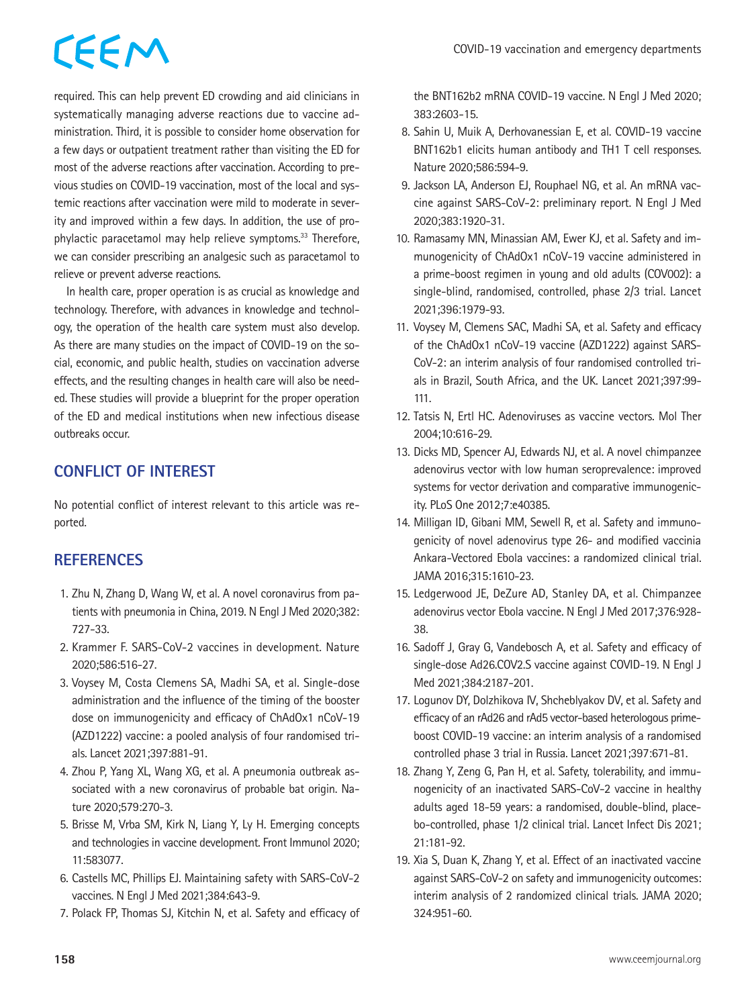required. This can help prevent ED crowding and aid clinicians in systematically managing adverse reactions due to vaccine administration. Third, it is possible to consider home observation for a few days or outpatient treatment rather than visiting the ED for most of the adverse reactions after vaccination. According to previous studies on COVID-19 vaccination, most of the local and systemic reactions after vaccination were mild to moderate in severity and improved within a few days. In addition, the use of prophylactic paracetamol may help relieve symptoms.33 Therefore, we can consider prescribing an analgesic such as paracetamol to relieve or prevent adverse reactions.

In health care, proper operation is as crucial as knowledge and technology. Therefore, with advances in knowledge and technology, the operation of the health care system must also develop. As there are many studies on the impact of COVID-19 on the social, economic, and public health, studies on vaccination adverse effects, and the resulting changes in health care will also be needed. These studies will provide a blueprint for the proper operation of the ED and medical institutions when new infectious disease outbreaks occur.

#### **CONFLICT OF INTEREST**

No potential conflict of interest relevant to this article was reported.

#### **REFERENCES**

- 1. Zhu N, Zhang D, Wang W, et al. A novel coronavirus from patients with pneumonia in China, 2019. N Engl J Med 2020;382: 727-33.
- 2. Krammer F. SARS-CoV-2 vaccines in development. Nature 2020;586:516-27.
- 3. Voysey M, Costa Clemens SA, Madhi SA, et al. Single-dose administration and the influence of the timing of the booster dose on immunogenicity and efficacy of ChAdOx1 nCoV-19 (AZD1222) vaccine: a pooled analysis of four randomised trials. Lancet 2021;397:881-91.
- 4. Zhou P, Yang XL, Wang XG, et al. A pneumonia outbreak associated with a new coronavirus of probable bat origin. Nature 2020;579:270-3.
- 5. Brisse M, Vrba SM, Kirk N, Liang Y, Ly H. Emerging concepts and technologies in vaccine development. Front Immunol 2020; 11:583077.
- 6. Castells MC, Phillips EJ. Maintaining safety with SARS-CoV-2 vaccines. N Engl J Med 2021;384:643-9.
- 7. Polack FP, Thomas SJ, Kitchin N, et al. Safety and efficacy of

the BNT162b2 mRNA COVID-19 vaccine. N Engl J Med 2020; 383:2603-15.

- 8. Sahin U, Muik A, Derhovanessian E, et al. COVID-19 vaccine BNT162b1 elicits human antibody and TH1 T cell responses. Nature 2020;586:594-9.
- 9. Jackson LA, Anderson EJ, Rouphael NG, et al. An mRNA vaccine against SARS-CoV-2: preliminary report. N Engl J Med 2020;383:1920-31.
- 10. Ramasamy MN, Minassian AM, Ewer KJ, et al. Safety and immunogenicity of ChAdOx1 nCoV-19 vaccine administered in a prime-boost regimen in young and old adults (COV002): a single-blind, randomised, controlled, phase 2/3 trial. Lancet 2021;396:1979-93.
- 11. Voysey M, Clemens SAC, Madhi SA, et al. Safety and efficacy of the ChAdOx1 nCoV-19 vaccine (AZD1222) against SARS-CoV-2: an interim analysis of four randomised controlled trials in Brazil, South Africa, and the UK. Lancet 2021;397:99- 111.
- 12. Tatsis N, Ertl HC. Adenoviruses as vaccine vectors. Mol Ther 2004;10:616-29.
- 13. Dicks MD, Spencer AJ, Edwards NJ, et al. A novel chimpanzee adenovirus vector with low human seroprevalence: improved systems for vector derivation and comparative immunogenicity. PLoS One 2012;7:e40385.
- 14. Milligan ID, Gibani MM, Sewell R, et al. Safety and immunogenicity of novel adenovirus type 26- and modified vaccinia Ankara-Vectored Ebola vaccines: a randomized clinical trial. JAMA 2016;315:1610-23.
- 15. Ledgerwood JE, DeZure AD, Stanley DA, et al. Chimpanzee adenovirus vector Ebola vaccine. N Engl J Med 2017;376:928- 38.
- 16. Sadoff J, Gray G, Vandebosch A, et al. Safety and efficacy of single-dose Ad26.COV2.S vaccine against COVID-19. N Engl J Med 2021;384:2187-201.
- 17. Logunov DY, Dolzhikova IV, Shcheblyakov DV, et al. Safety and efficacy of an rAd26 and rAd5 vector-based heterologous primeboost COVID-19 vaccine: an interim analysis of a randomised controlled phase 3 trial in Russia. Lancet 2021;397:671-81.
- 18. Zhang Y, Zeng G, Pan H, et al. Safety, tolerability, and immunogenicity of an inactivated SARS-CoV-2 vaccine in healthy adults aged 18-59 years: a randomised, double-blind, placebo-controlled, phase 1/2 clinical trial. Lancet Infect Dis 2021; 21:181-92.
- 19. Xia S, Duan K, Zhang Y, et al. Effect of an inactivated vaccine against SARS-CoV-2 on safety and immunogenicity outcomes: interim analysis of 2 randomized clinical trials. JAMA 2020; 324:951-60.